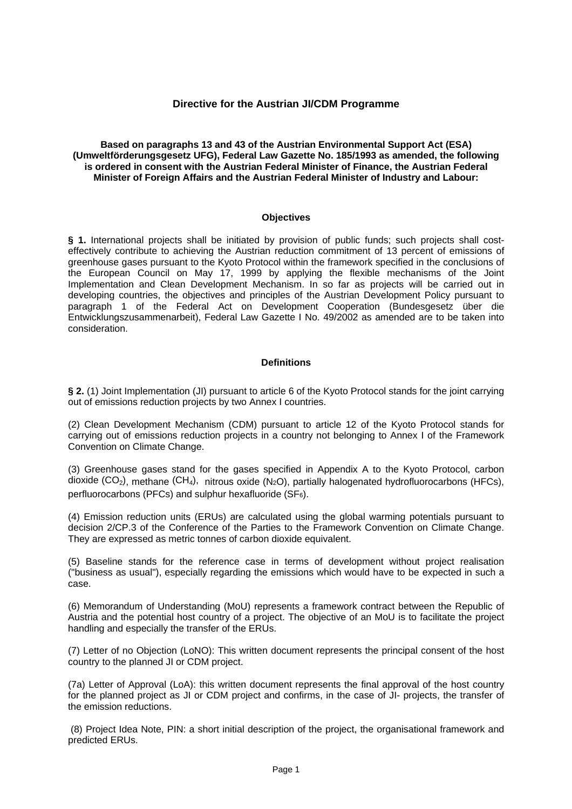# **Directive for the Austrian JI/CDM Programme**

**Based on paragraphs 13 and 43 of the Austrian Environmental Support Act (ESA) (Umweltförderungsgesetz UFG), Federal Law Gazette No. 185/1993 as amended, the following is ordered in consent with the Austrian Federal Minister of Finance, the Austrian Federal Minister of Foreign Affairs and the Austrian Federal Minister of Industry and Labour:** 

#### **Objectives**

**§ 1.** International projects shall be initiated by provision of public funds; such projects shall costeffectively contribute to achieving the Austrian reduction commitment of 13 percent of emissions of greenhouse gases pursuant to the Kyoto Protocol within the framework specified in the conclusions of the European Council on May 17, 1999 by applying the flexible mechanisms of the Joint Implementation and Clean Development Mechanism. In so far as projects will be carried out in developing countries, the objectives and principles of the Austrian Development Policy pursuant to paragraph 1 of the Federal Act on Development Cooperation (Bundesgesetz über die Entwicklungszusammenarbeit), Federal Law Gazette I No. 49/2002 as amended are to be taken into consideration.

### **Definitions**

**§ 2.** (1) Joint Implementation (JI) pursuant to article 6 of the Kyoto Protocol stands for the joint carrying out of emissions reduction projects by two Annex I countries.

(2) Clean Development Mechanism (CDM) pursuant to article 12 of the Kyoto Protocol stands for carrying out of emissions reduction projects in a country not belonging to Annex I of the Framework Convention on Climate Change.

(3) Greenhouse gases stand for the gases specified in Appendix A to the Kyoto Protocol, carbon dioxide  $(CO_2)$ , methane  $(CH_4)$ , nitrous oxide  $(N_2O)$ , partially halogenated hydrofluorocarbons (HFCs), perfluorocarbons (PFCs) and sulphur hexafluoride (SF6).

(4) Emission reduction units (ERUs) are calculated using the global warming potentials pursuant to decision 2/CP.3 of the Conference of the Parties to the Framework Convention on Climate Change. They are expressed as metric tonnes of carbon dioxide equivalent.

(5) Baseline stands for the reference case in terms of development without project realisation ("business as usual"), especially regarding the emissions which would have to be expected in such a case.

(6) Memorandum of Understanding (MoU) represents a framework contract between the Republic of Austria and the potential host country of a project. The objective of an MoU is to facilitate the project handling and especially the transfer of the ERUs.

(7) Letter of no Objection (LoNO): This written document represents the principal consent of the host country to the planned JI or CDM project.

(7a) Letter of Approval (LoA): this written document represents the final approval of the host country for the planned project as JI or CDM project and confirms, in the case of JI- projects, the transfer of the emission reductions.

(8) Project Idea Note, PIN: a short initial description of the project, the organisational framework and predicted ERUs.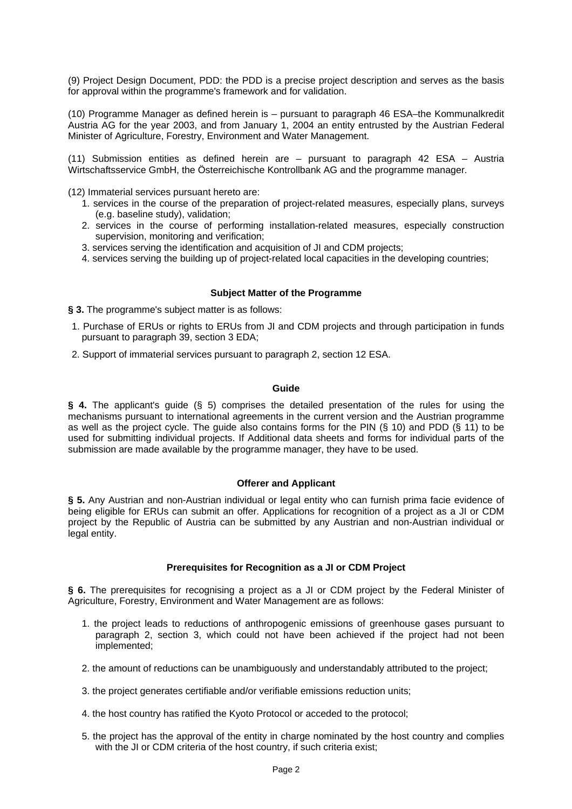(9) Project Design Document, PDD: the PDD is a precise project description and serves as the basis for approval within the programme's framework and for validation.

(10) Programme Manager as defined herein is – pursuant to paragraph 46 ESA–the Kommunalkredit Austria AG for the year 2003, and from January 1, 2004 an entity entrusted by the Austrian Federal Minister of Agriculture, Forestry, Environment and Water Management.

(11) Submission entities as defined herein are – pursuant to paragraph 42 ESA – Austria Wirtschaftsservice GmbH, the Österreichische Kontrollbank AG and the programme manager.

(12) Immaterial services pursuant hereto are:

- 1. services in the course of the preparation of project-related measures, especially plans, surveys (e.g. baseline study), validation;
- 2. services in the course of performing installation-related measures, especially construction supervision, monitoring and verification;
- 3. services serving the identification and acquisition of JI and CDM projects;
- 4. services serving the building up of project-related local capacities in the developing countries;

### **Subject Matter of the Programme**

**§ 3.** The programme's subject matter is as follows:

- 1. Purchase of ERUs or rights to ERUs from JI and CDM projects and through participation in funds pursuant to paragraph 39, section 3 EDA;
- 2. Support of immaterial services pursuant to paragraph 2, section 12 ESA.

#### **Guide**

**§ 4.** The applicant's guide (§ 5) comprises the detailed presentation of the rules for using the mechanisms pursuant to international agreements in the current version and the Austrian programme as well as the project cycle. The guide also contains forms for the PIN (§ 10) and PDD (§ 11) to be used for submitting individual projects. If Additional data sheets and forms for individual parts of the submission are made available by the programme manager, they have to be used.

#### **Offerer and Applicant**

**§ 5.** Any Austrian and non-Austrian individual or legal entity who can furnish prima facie evidence of being eligible for ERUs can submit an offer. Applications for recognition of a project as a JI or CDM project by the Republic of Austria can be submitted by any Austrian and non-Austrian individual or legal entity.

# **Prerequisites for Recognition as a JI or CDM Project**

**§ 6.** The prerequisites for recognising a project as a JI or CDM project by the Federal Minister of Agriculture, Forestry, Environment and Water Management are as follows:

- 1. the project leads to reductions of anthropogenic emissions of greenhouse gases pursuant to paragraph 2, section 3, which could not have been achieved if the project had not been implemented;
- 2. the amount of reductions can be unambiguously and understandably attributed to the project;
- 3. the project generates certifiable and/or verifiable emissions reduction units;
- 4. the host country has ratified the Kyoto Protocol or acceded to the protocol;
- 5. the project has the approval of the entity in charge nominated by the host country and complies with the JI or CDM criteria of the host country, if such criteria exist;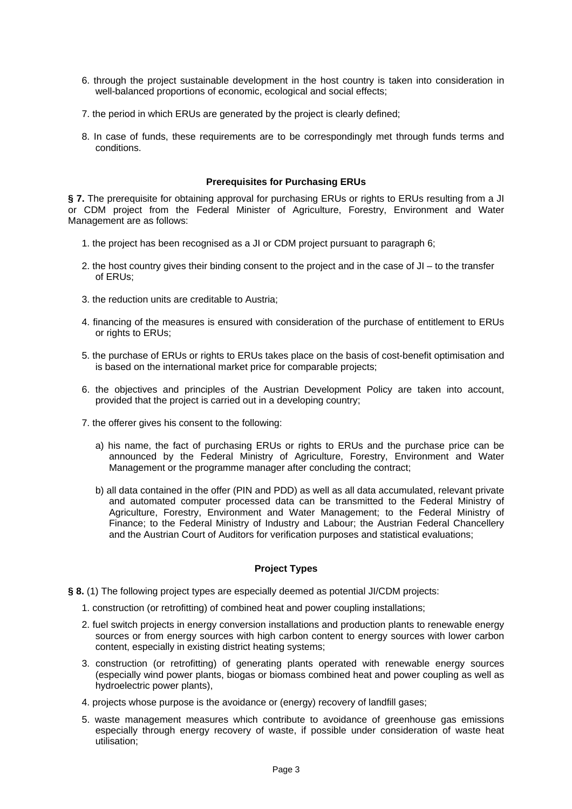- 6. through the project sustainable development in the host country is taken into consideration in well-balanced proportions of economic, ecological and social effects;
- 7. the period in which ERUs are generated by the project is clearly defined;
- 8. In case of funds, these requirements are to be correspondingly met through funds terms and conditions.

### **Prerequisites for Purchasing ERUs**

**§ 7.** The prerequisite for obtaining approval for purchasing ERUs or rights to ERUs resulting from a JI or CDM project from the Federal Minister of Agriculture, Forestry, Environment and Water Management are as follows:

- 1. the project has been recognised as a JI or CDM project pursuant to paragraph 6;
- 2. the host country gives their binding consent to the project and in the case of JI to the transfer of ERUs;
- 3. the reduction units are creditable to Austria;
- 4. financing of the measures is ensured with consideration of the purchase of entitlement to ERUs or rights to ERUs;
- 5. the purchase of ERUs or rights to ERUs takes place on the basis of cost-benefit optimisation and is based on the international market price for comparable projects;
- 6. the objectives and principles of the Austrian Development Policy are taken into account, provided that the project is carried out in a developing country;
- 7. the offerer gives his consent to the following:
	- a) his name, the fact of purchasing ERUs or rights to ERUs and the purchase price can be announced by the Federal Ministry of Agriculture, Forestry, Environment and Water Management or the programme manager after concluding the contract;
	- b) all data contained in the offer (PIN and PDD) as well as all data accumulated, relevant private and automated computer processed data can be transmitted to the Federal Ministry of Agriculture, Forestry, Environment and Water Management; to the Federal Ministry of Finance; to the Federal Ministry of Industry and Labour; the Austrian Federal Chancellery and the Austrian Court of Auditors for verification purposes and statistical evaluations;

# **Project Types**

- **§ 8.** (1) The following project types are especially deemed as potential JI/CDM projects:
	- 1. construction (or retrofitting) of combined heat and power coupling installations;
	- 2. fuel switch projects in energy conversion installations and production plants to renewable energy sources or from energy sources with high carbon content to energy sources with lower carbon content, especially in existing district heating systems;
	- 3. construction (or retrofitting) of generating plants operated with renewable energy sources (especially wind power plants, biogas or biomass combined heat and power coupling as well as hydroelectric power plants),
	- 4. projects whose purpose is the avoidance or (energy) recovery of landfill gases;
	- 5. waste management measures which contribute to avoidance of greenhouse gas emissions especially through energy recovery of waste, if possible under consideration of waste heat utilisation;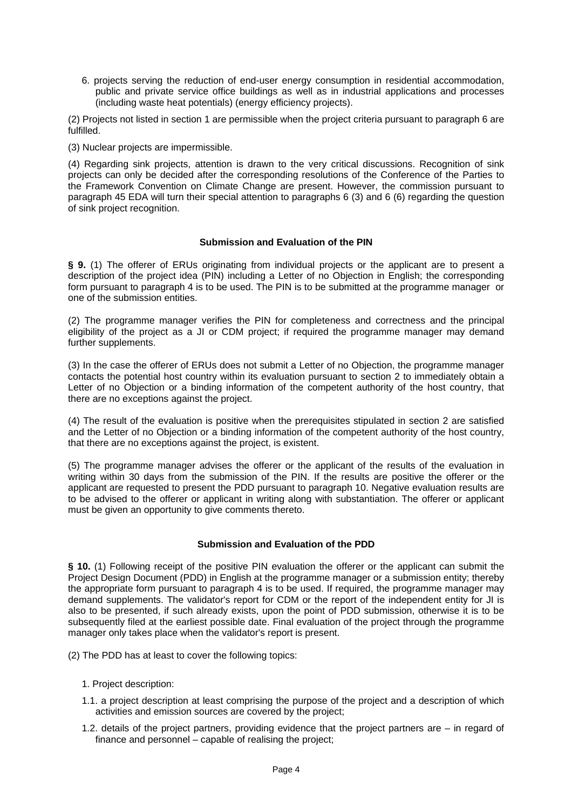6. projects serving the reduction of end-user energy consumption in residential accommodation, public and private service office buildings as well as in industrial applications and processes (including waste heat potentials) (energy efficiency projects).

(2) Projects not listed in section 1 are permissible when the project criteria pursuant to paragraph 6 are fulfilled.

(3) Nuclear projects are impermissible.

(4) Regarding sink projects, attention is drawn to the very critical discussions. Recognition of sink projects can only be decided after the corresponding resolutions of the Conference of the Parties to the Framework Convention on Climate Change are present. However, the commission pursuant to paragraph 45 EDA will turn their special attention to paragraphs 6 (3) and 6 (6) regarding the question of sink project recognition.

### **Submission and Evaluation of the PIN**

**§ 9.** (1) The offerer of ERUs originating from individual projects or the applicant are to present a description of the project idea (PIN) including a Letter of no Objection in English; the corresponding form pursuant to paragraph 4 is to be used. The PIN is to be submitted at the programme manager or one of the submission entities.

(2) The programme manager verifies the PIN for completeness and correctness and the principal eligibility of the project as a JI or CDM project; if required the programme manager may demand further supplements.

(3) In the case the offerer of ERUs does not submit a Letter of no Objection, the programme manager contacts the potential host country within its evaluation pursuant to section 2 to immediately obtain a Letter of no Objection or a binding information of the competent authority of the host country, that there are no exceptions against the project.

(4) The result of the evaluation is positive when the prerequisites stipulated in section 2 are satisfied and the Letter of no Objection or a binding information of the competent authority of the host country, that there are no exceptions against the project, is existent.

(5) The programme manager advises the offerer or the applicant of the results of the evaluation in writing within 30 days from the submission of the PIN. If the results are positive the offerer or the applicant are requested to present the PDD pursuant to paragraph 10. Negative evaluation results are to be advised to the offerer or applicant in writing along with substantiation. The offerer or applicant must be given an opportunity to give comments thereto.

#### **Submission and Evaluation of the PDD**

**§ 10.** (1) Following receipt of the positive PIN evaluation the offerer or the applicant can submit the Project Design Document (PDD) in English at the programme manager or a submission entity; thereby the appropriate form pursuant to paragraph 4 is to be used. If required, the programme manager may demand supplements. The validator's report for CDM or the report of the independent entity for JI is also to be presented, if such already exists, upon the point of PDD submission, otherwise it is to be subsequently filed at the earliest possible date. Final evaluation of the project through the programme manager only takes place when the validator's report is present.

(2) The PDD has at least to cover the following topics:

- 1. Project description:
- 1.1. a project description at least comprising the purpose of the project and a description of which activities and emission sources are covered by the project;
- 1.2. details of the project partners, providing evidence that the project partners are in regard of finance and personnel – capable of realising the project;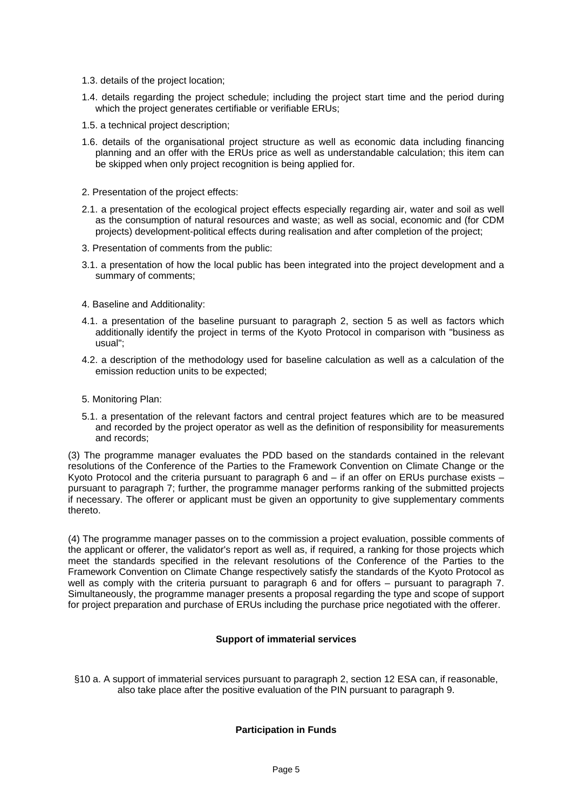- 1.3. details of the project location;
- 1.4. details regarding the project schedule; including the project start time and the period during which the project generates certifiable or verifiable ERUs;
- 1.5. a technical project description;
- 1.6. details of the organisational project structure as well as economic data including financing planning and an offer with the ERUs price as well as understandable calculation; this item can be skipped when only project recognition is being applied for.
- 2. Presentation of the project effects:
- 2.1. a presentation of the ecological project effects especially regarding air, water and soil as well as the consumption of natural resources and waste; as well as social, economic and (for CDM projects) development-political effects during realisation and after completion of the project;
- 3. Presentation of comments from the public:
- 3.1. a presentation of how the local public has been integrated into the project development and a summary of comments;
- 4. Baseline and Additionality:
- 4.1. a presentation of the baseline pursuant to paragraph 2, section 5 as well as factors which additionally identify the project in terms of the Kyoto Protocol in comparison with "business as usual";
- 4.2. a description of the methodology used for baseline calculation as well as a calculation of the emission reduction units to be expected;
- 5. Monitoring Plan:
- 5.1. a presentation of the relevant factors and central project features which are to be measured and recorded by the project operator as well as the definition of responsibility for measurements and records;

(3) The programme manager evaluates the PDD based on the standards contained in the relevant resolutions of the Conference of the Parties to the Framework Convention on Climate Change or the Kyoto Protocol and the criteria pursuant to paragraph 6 and – if an offer on ERUs purchase exists – pursuant to paragraph 7; further, the programme manager performs ranking of the submitted projects if necessary. The offerer or applicant must be given an opportunity to give supplementary comments thereto.

(4) The programme manager passes on to the commission a project evaluation, possible comments of the applicant or offerer, the validator's report as well as, if required, a ranking for those projects which meet the standards specified in the relevant resolutions of the Conference of the Parties to the Framework Convention on Climate Change respectively satisfy the standards of the Kyoto Protocol as well as comply with the criteria pursuant to paragraph 6 and for offers – pursuant to paragraph 7. Simultaneously, the programme manager presents a proposal regarding the type and scope of support for project preparation and purchase of ERUs including the purchase price negotiated with the offerer.

# **Support of immaterial services**

§10 a. A support of immaterial services pursuant to paragraph 2, section 12 ESA can, if reasonable, also take place after the positive evaluation of the PIN pursuant to paragraph 9.

# **Participation in Funds**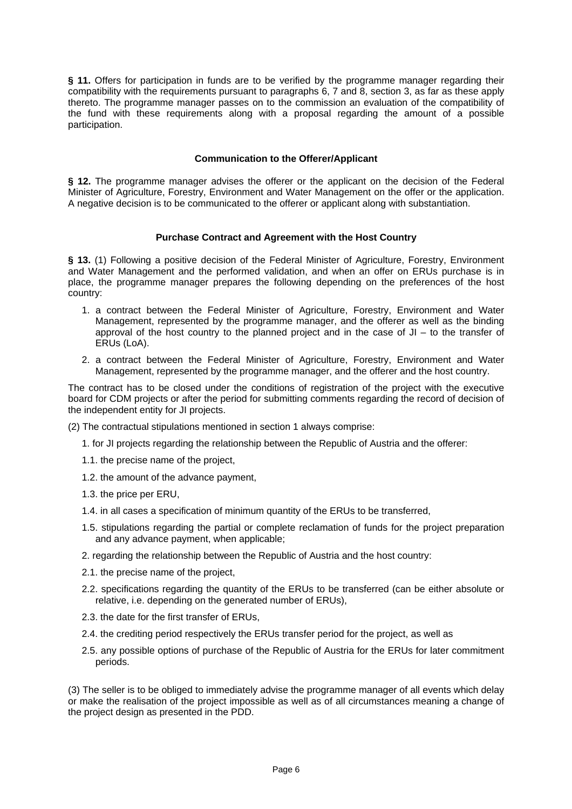**§ 11.** Offers for participation in funds are to be verified by the programme manager regarding their compatibility with the requirements pursuant to paragraphs 6, 7 and 8, section 3, as far as these apply thereto. The programme manager passes on to the commission an evaluation of the compatibility of the fund with these requirements along with a proposal regarding the amount of a possible participation.

# **Communication to the Offerer/Applicant**

**§ 12.** The programme manager advises the offerer or the applicant on the decision of the Federal Minister of Agriculture, Forestry, Environment and Water Management on the offer or the application. A negative decision is to be communicated to the offerer or applicant along with substantiation.

#### **Purchase Contract and Agreement with the Host Country**

**§ 13.** (1) Following a positive decision of the Federal Minister of Agriculture, Forestry, Environment and Water Management and the performed validation, and when an offer on ERUs purchase is in place, the programme manager prepares the following depending on the preferences of the host country:

- 1. a contract between the Federal Minister of Agriculture, Forestry, Environment and Water Management, represented by the programme manager, and the offerer as well as the binding approval of the host country to the planned project and in the case of  $JI -$  to the transfer of ERUs (LoA).
- 2. a contract between the Federal Minister of Agriculture, Forestry, Environment and Water Management, represented by the programme manager, and the offerer and the host country.

The contract has to be closed under the conditions of registration of the project with the executive board for CDM projects or after the period for submitting comments regarding the record of decision of the independent entity for JI projects.

(2) The contractual stipulations mentioned in section 1 always comprise:

- 1. for JI projects regarding the relationship between the Republic of Austria and the offerer:
- 1.1. the precise name of the project,
- 1.2. the amount of the advance payment,
- 1.3. the price per ERU,
- 1.4. in all cases a specification of minimum quantity of the ERUs to be transferred,
- 1.5. stipulations regarding the partial or complete reclamation of funds for the project preparation and any advance payment, when applicable;
- 2. regarding the relationship between the Republic of Austria and the host country:
- 2.1. the precise name of the project,
- 2.2. specifications regarding the quantity of the ERUs to be transferred (can be either absolute or relative, i.e. depending on the generated number of ERUs),
- 2.3. the date for the first transfer of ERUs,
- 2.4. the crediting period respectively the ERUs transfer period for the project, as well as
- 2.5. any possible options of purchase of the Republic of Austria for the ERUs for later commitment periods.

(3) The seller is to be obliged to immediately advise the programme manager of all events which delay or make the realisation of the project impossible as well as of all circumstances meaning a change of the project design as presented in the PDD.